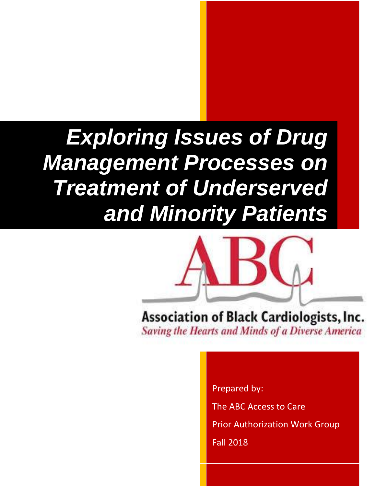# *Exploring Issues of Drug Management Processes on Treatment of Underserved and Minority Patients*



Association of Black Cardiologists, Inc. **Saving the Hearts and Minds of a Diverse America** 

Prepared by:

The ABC Access to Care

Prior Authorization Work Group

Fall 2018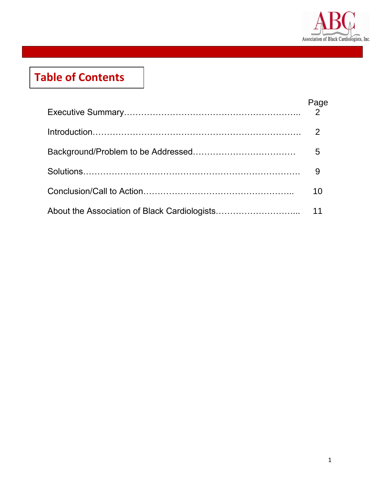

# **Table of Contents**

| 10 |
|----|
|    |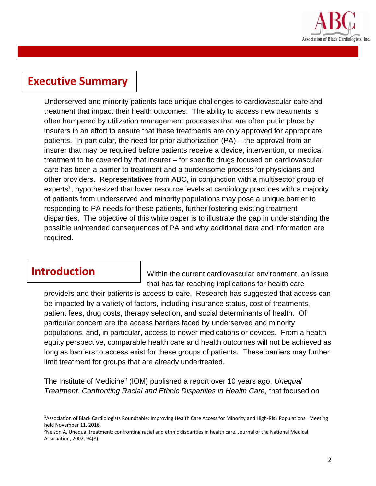

#### **Executive Summary**

Underserved and minority patients face unique challenges to cardiovascular care and treatment that impact their health outcomes. The ability to access new treatments is often hampered by utilization management processes that are often put in place by insurers in an effort to ensure that these treatments are only approved for appropriate patients. In particular, the need for prior authorization (PA) – the approval from an insurer that may be required before patients receive a device, intervention, or medical treatment to be covered by that insurer – for specific drugs focused on cardiovascular care has been a barrier to treatment and a burdensome process for physicians and other providers. Representatives from ABC, in conjunction with a multisector group of experts<sup>1</sup>, hypothesized that lower resource levels at cardiology practices with a majority of patients from underserved and minority populations may pose a unique barrier to responding to PA needs for these patients, further fostering existing treatment disparities. The objective of this white paper is to illustrate the gap in understanding the possible unintended consequences of PA and why additional data and information are required.

#### **Introduction**

 $\overline{a}$ 

Within the current cardiovascular environment, an issue that has far-reaching implications for health care

providers and their patients is access to care. Research has suggested that access can be impacted by a variety of factors, including insurance status, cost of treatments, patient fees, drug costs, therapy selection, and social determinants of health. Of particular concern are the access barriers faced by underserved and minority populations, and, in particular, access to newer medications or devices. From a health equity perspective, comparable health care and health outcomes will not be achieved as long as barriers to access exist for these groups of patients. These barriers may further limit treatment for groups that are already undertreated.

The Institute of Medicine<sup>2</sup> (IOM) published a report over 10 years ago, *Unequal Treatment: Confronting Racial and Ethnic Disparities in Health Care,* that focused on

<sup>1</sup>Association of Black Cardiologists Roundtable: Improving Health Care Access for Minority and High-Risk Populations. Meeting held November 11, 2016.

<sup>2</sup>Nelson A, Unequal treatment: confronting racial and ethnic disparities in health care. Journal of the National Medical Association, 2002. 94(8).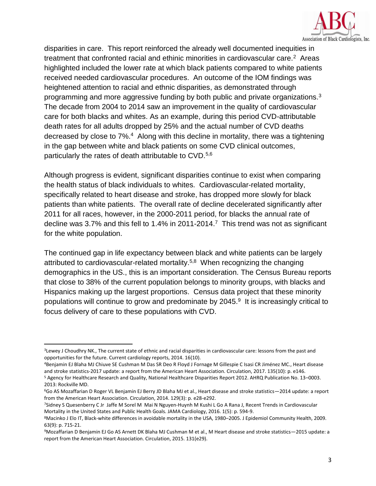

disparities in care. This report reinforced the already well documented inequities in treatment that confronted racial and ethinic minorities in cardiovascular care.<sup>2</sup> Areas highlighted included the lower rate at which black patients compared to white patients received needed cardiovascular procedures. An outcome of the IOM findings was heightened attention to racial and ethnic disparities, as demonstrated through programming and more aggressive funding by both public and private organizations. $3$ The decade from 2004 to 2014 saw an improvement in the quality of cardiovascular care for both blacks and whites. As an example, during this period CVD-attributable death rates for all adults dropped by 25% and the actual number of CVD deaths decreased by close to 7%.<sup>4</sup> Along with this decline in mortality, there was a tightening in the gap between white and black patients on some CVD clinical outcomes, particularly the rates of death attributable to CVD.<sup>5,6</sup>

Although progress is evident, significant disparities continue to exist when comparing the health status of black individuals to whites. Cardiovascular-related mortality, specifically related to heart disease and stroke, has dropped more slowly for black patients than white patients. The overall rate of decline decelerated significantly after 2011 for all races, however, in the 2000-2011 period, for blacks the annual rate of decline was 3.7% and this fell to 1.4% in 2011-2014.<sup>7</sup> This trend was not as significant for the white population.

The continued gap in life expectancy between black and white patients can be largely attributed to cardiovascular-related mortality.<sup>5,8</sup> When recognizing the changing demographics in the US., this is an important consideration. The Census Bureau reports that close to 38% of the current population belongs to minority groups, with blacks and Hispanics making up the largest proportions. Census data project that these minority populations will continue to grow and predominate by 2045.<sup>9</sup> It is increasingly critical to focus delivery of care to these populations with CVD.

 $\overline{a}$ <sup>3</sup>Lewey J Choudhry NK., The current state of ethnic and racial disparities in cardiovascular care: lessons from the past and opportunities for the future. Current cardiology reports, 2014. 16(10).

<sup>4</sup>Benjamin EJ Blaha MJ Chiuve SE Cushman M Das SR Deo R Floyd J Fornage M Gillespie C Isasi CR Jiménez MC., Heart disease and stroke statistics-2017 update: a report from the American Heart Association. Circulation, 2017. 135(10): p. e146.

<sup>5</sup> Agency for Healthcare Research and Quality, National Healthcare Disparities Report 2012. AHRQ Publication No. 13–0003. 2013: Rockville MD.

<sup>6</sup>Go AS Mozaffarian D Roger VL Benjamin EJ Berry JD Blaha MJ et al., Heart disease and stroke statistics—2014 update: a report from the American Heart Association. Circulation, 2014. 129(3): p. e28-e292.

<sup>7</sup>Sidney S Quesenberry C Jr Jaffe M Sorel M Mai N Nguyen-Huynh M Kushi L Go A Rana J, Recent Trends in Cardiovascular Mortality in the United States and Public Health Goals. JAMA Cardiology, 2016. 1(5): p. 594-9.

<sup>8</sup>Macinko J Elo IT, Black-white differences in avoidable mortality in the USA, 1980–2005. J Epidemiol Community Health, 2009. 63(9): p. 715-21.

<sup>9</sup>Mozaffarian D Benjamin EJ Go AS Arnett DK Blaha MJ Cushman M et al., M Heart disease and stroke statistics—2015 update: a report from the American Heart Association. Circulation, 2015. 131(e29).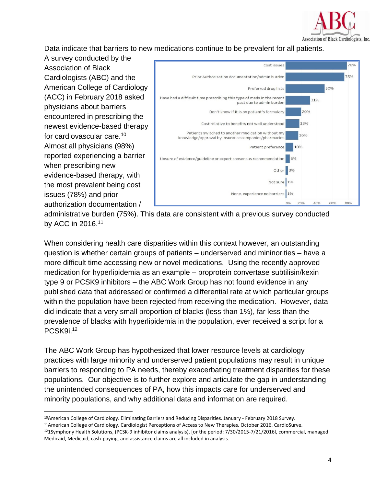

Data indicate that barriers to new medications continue to be prevalent for all patients.

A survey conducted by the Association of Black Cardiologists (ABC) and the American College of Cardiology (ACC) in February 2018 asked physicians about barriers encountered in prescribing the newest evidence-based therapy for cardiovascular care.<sup>10</sup> Almost all physicians (98%) reported experiencing a barrier when prescribing new evidence-based therapy, with the most prevalent being cost issues (78%) and prior authorization documentation /

 $\overline{a}$ 



administrative burden (75%). This data are consistent with a previous survey conducted by ACC in 2016.<sup>11</sup>

When considering health care disparities within this context however, an outstanding question is whether certain groups of patients – underserved and mininorities – have a more difficult time accessing new or novel medications. Using the recently approved medication for hyperlipidemia as an example – proprotein convertase subtilisin/kexin type 9 or PCSK9 inhibitors – the ABC Work Group has not found evidence in any published data that addressed or confirmed a differential rate at which particular groups within the population have been rejected from receiving the medication. However, data did indicate that a very small proportion of blacks (less than 1%), far less than the prevalence of blacks with hyperlipidemia in the population, ever received a script for a PCSK9i. 12

The ABC Work Group has hypothesized that lower resource levels at cardiology practices with large minority and underserved patient populations may result in unique barriers to responding to PA needs, thereby exacerbating treatment disparities for these populations. Our objective is to further explore and articulate the gap in understanding the unintended consequences of PA, how this impacts care for underserved and minority populations, and why additional data and information are required.

<sup>10</sup>American College of Cardiology. Eliminating Barriers and Reducing Disparities. January - February 2018 Survey.

<sup>11</sup>American College of Cardiology. Cardiologist Perceptions of Access to New Therapies. October 2016. CardioSurve.

<sup>12</sup>1Symphony Health Solutions, (PCSK-9 inhibitor claims analysis), [or the period: 7/30/2015-7/21/2016l, commercial, managed Medicaid, Medicaid, cash-paying, and assistance claims are all included in analysis.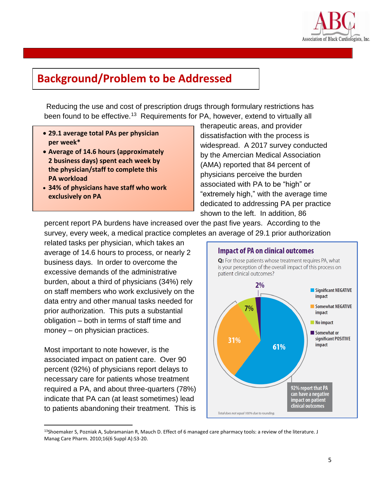

### **Background/Problem to be Addressed**

Reducing the use and cost of prescription drugs through formulary restrictions has been found to be effective.<sup>13</sup> Requirements for PA, however, extend to virtually all

- **29.1 average total PAs per physician per week\***
- **Average of 14.6 hours (approximately 2 business days) spent each week by the physician/staff to complete this PA workload**
- **34% of physicians have staff who work exclusively on PA**

therapeutic areas, and provider dissatisfaction with the process is widespread. A 2017 survey conducted by the Amercian Medical Association (AMA) reported that 84 percent of physicians perceive the burden associated with PA to be "high" or "extremely high," with the average time dedicated to addressing PA per practice shown to the left. In addition, 86

percent report PA burdens have increased over the past five years. According to the survey, every week, a medical practice completes an average of 29.1 prior authorization

related tasks per physician, which takes an average of 14.6 hours to process, or nearly 2 business days. In order to overcome the excessive demands of the administrative burden, about a third of physicians (34%) rely on staff members who work exclusively on the data entry and other manual tasks needed for prior authorization. This puts a substantial obligation – both in terms of staff time and money – on physician practices.

Most important to note however, is the associated impact on patient care. Over 90 percent (92%) of physicians report delays to necessary care for patients whose treatment required a PA, and about three-quarters (78%) indicate that PA can (at least sometimes) lead to patients abandoning their treatment. This is

 $\overline{\phantom{a}}$ 



<sup>13</sup>Shoemaker S, Pozniak A, Subramanian R, Mauch D. Effect of 6 managed care pharmacy tools: a review of the literature. J Manag Care Pharm. 2010;16(6 Suppl A):S3-20.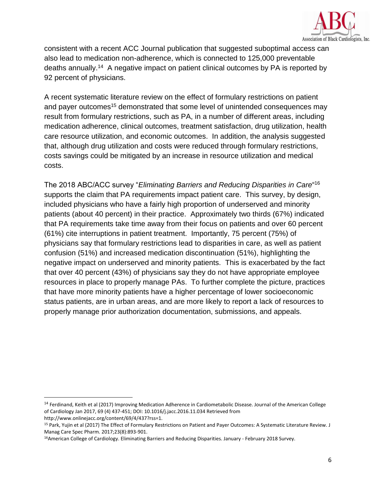

consistent with a recent ACC Journal publication that suggested suboptimal access can also lead to medication non-adherence, which is connected to 125,000 preventable deaths annually.<sup>14</sup> A negative impact on patient clinical outcomes by PA is reported by 92 percent of physicians.

A recent systematic literature review on the effect of formulary restrictions on patient and payer outcomes<sup>15</sup> demonstrated that some level of unintended consequences may result from formulary restrictions, such as PA, in a number of different areas, including medication adherence, clinical outcomes, treatment satisfaction, drug utilization, health care resource utilization, and economic outcomes. In addition, the analysis suggested that, although drug utilization and costs were reduced through formulary restrictions, costs savings could be mitigated by an increase in resource utilization and medical costs.

The 2018 ABC/ACC survey "*Eliminating Barriers and Reducing Disparities in Care*" 16 supports the claim that PA requirements impact patient care. This survey, by design, included physicians who have a fairly high proportion of underserved and minority patients (about 40 percent) in their practice. Approximately two thirds (67%) indicated that PA requirements take time away from their focus on patients and over 60 percent (61%) cite interruptions in patient treatment. Importantly, 75 percent (75%) of physicians say that formulary restrictions lead to disparities in care, as well as patient confusion (51%) and increased medication discontinuation (51%), highlighting the negative impact on underserved and minority patients. This is exacerbated by the fact that over 40 percent (43%) of physicians say they do not have appropriate employee resources in place to properly manage PAs. To further complete the picture, practices that have more minority patients have a higher percentage of lower socioeconomic status patients, are in urban areas, and are more likely to report a lack of resources to properly manage prior authorization documentation, submissions, and appeals.

 $\overline{\phantom{a}}$ 

<sup>&</sup>lt;sup>14</sup> Ferdinand, Keith et al (2017) Improving Medication Adherence in Cardiometabolic Disease. Journal of the American College of Cardiology Jan 2017, 69 (4) 437-451; DOI: 10.1016/j.jacc.2016.11.034 Retrieved from

http://www.onlinejacc.org/content/69/4/437?rss=1.

<sup>15</sup> Park, Yujin et al (2017) The Effect of Formulary Restrictions on Patient and Payer Outcomes: A Systematic Literature Review. J Manag Care Spec Pharm. 2017;23(8):893-901.

<sup>16</sup>American College of Cardiology. Eliminating Barriers and Reducing Disparities. January - February 2018 Survey.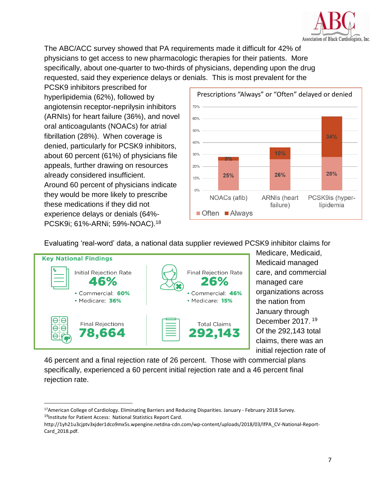

The ABC/ACC survey showed that PA requirements made it difficult for 42% of physicians to get access to new pharmacologic therapies for their patients. More specifically, about one-quarter to two-thirds of physicians, depending upon the drug requested, said they experience delays or denials. This is most prevalent for the

PCSK9 inhibitors prescribed for hyperlipidemia (62%), followed by angiotensin receptor-neprilysin inhibitors (ARNIs) for heart failure (36%), and novel oral anticoagulants (NOACs) for atrial fibrillation (28%). When coverage is denied, particularly for PCSK9 inhibitors, about 60 percent (61%) of physicians file appeals, further drawing on resources already considered insufficient. Around 60 percent of physicians indicate they would be more likely to prescribe these medications if they did not experience delays or denials (64%- PCSK9i; 61%-ARNi; 59%-NOAC).<sup>18</sup>



Evaluating 'real-word' data, a national data supplier reviewed PCSK9 inhibitor claims for



l

Medicare, Medicaid, Medicaid managed care, and commercial managed care organizations across the nation from January through December 2017.  $19$ Of the 292,143 total claims, there was an initial rejection rate of

46 percent and a final rejection rate of 26 percent. Those with commercial plans specifically, experienced a 60 percent initial rejection rate and a 46 percent final rejection rate.

<sup>17</sup>American College of Cardiology. Eliminating Barriers and Reducing Disparities. January - February 2018 Survey. <sup>19</sup>Institute for Patient Access: National Statistics Report Card.

http://1yh21u3cjptv3xjder1dco9mx5s.wpengine.netdna-cdn.com/wp-content/uploads/2018/03/IfPA\_CV-National-Report-Card\_2018.pdf.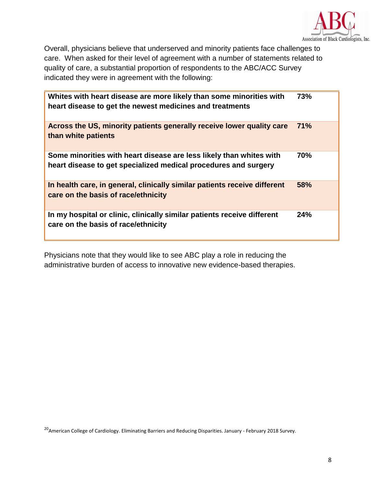

Overall, physicians believe that underserved and minority patients face challenges to care. When asked for their level of agreement with a number of statements related to quality of care, a substantial proportion of respondents to the ABC/ACC Survey indicated they were in agreement with the following:

| Whites with heart disease are more likely than some minorities with<br>heart disease to get the newest medicines and treatments        | 73%        |
|----------------------------------------------------------------------------------------------------------------------------------------|------------|
| Across the US, minority patients generally receive lower quality care<br>than white patients                                           | 71%        |
| Some minorities with heart disease are less likely than whites with<br>heart disease to get specialized medical procedures and surgery | <b>70%</b> |
| In health care, in general, clinically similar patients receive different<br>care on the basis of race/ethnicity                       | 58%        |
| In my hospital or clinic, clinically similar patients receive different<br>care on the basis of race/ethnicity                         | 24%        |

Physicians note that they would like to see ABC play a role in reducing the administrative burden of access to innovative new evidence-based therapies.

<sup>20</sup> American College of Cardiology. Eliminating Barriers and Reducing Disparities. January - February 2018 Survey.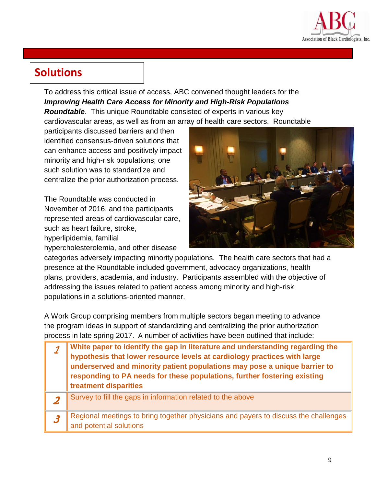

# **Solutions**

To address this critical issue of access, ABC convened thought leaders for the *Improving Health Care Access for Minority and High-Risk Populations Roundtable*. This unique Roundtable consisted of experts in various key cardiovascular areas, as well as from an array of health care sectors. Roundtable

participants discussed barriers and then identified consensus-driven solutions that can enhance access and positively impact minority and high-risk populations; one such solution was to standardize and centralize the prior authorization process.

The Roundtable was conducted in November of 2016, and the participants represented areas of cardiovascular care, such as heart failure, stroke,

hyperlipidemia, familial

hypercholesterolemia, and other disease



categories adversely impacting minority populations. The health care sectors that had a presence at the Roundtable included government, advocacy organizations, health plans, providers, academia, and industry. Participants assembled with the objective of addressing the issues related to patient access among minority and high-risk populations in a solutions-oriented manner.

A Work Group comprising members from multiple sectors began meeting to advance the program ideas in support of standardizing and centralizing the prior authorization process in late spring 2017. A number of activities have been outlined that include:

| White paper to identify the gap in literature and understanding regarding the hypothesis that lower resource levels at cardiology practices with large<br>underserved and minority patient populations may pose a unique barrier to<br>responding to PA needs for these populations, further fostering existing<br>treatment disparities |
|------------------------------------------------------------------------------------------------------------------------------------------------------------------------------------------------------------------------------------------------------------------------------------------------------------------------------------------|
| Survey to fill the gaps in information related to the above                                                                                                                                                                                                                                                                              |
| Regional meetings to bring together physicians and payers to discuss the challenges<br>and potential solutions                                                                                                                                                                                                                           |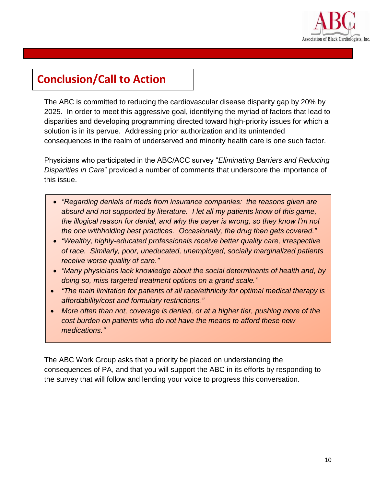

# **Conclusion/Call to Action**

The ABC is committed to reducing the cardiovascular disease disparity gap by 20% by 2025. In order to meet this aggressive goal, identifying the myriad of factors that lead to disparities and developing programming directed toward high-priority issues for which a solution is in its pervue. Addressing prior authorization and its unintended consequences in the realm of underserved and minority health care is one such factor.

Physicians who participated in the ABC/ACC survey "*Eliminating Barriers and Reducing Disparities in Care*" provided a number of comments that underscore the importance of this issue.

- *"Regarding denials of meds from insurance companies: the reasons given are absurd and not supported by literature. I let all my patients know of this game, the illogical reason for denial, and why the payer is wrong, so they know I'm not the one withholding best practices. Occasionally, the drug then gets covered."*
- *"Wealthy, highly-educated professionals receive better quality care, irrespective of race. Similarly, poor, uneducated, unemployed, socially marginalized patients receive worse quality of care."*
- *"Many physicians lack knowledge about the social determinants of health and, by doing so, miss targeted treatment options on a grand scale."*
- *"The main limitation for patients of all race/ethnicity for optimal medical therapy is affordability/cost and formulary restrictions."*
- *More often than not, coverage is denied, or at a higher tier, pushing more of the cost burden on patients who do not have the means to afford these new medications."*

The ABC Work Group asks that a priority be placed on understanding the consequences of PA, and that you will support the ABC in its efforts by responding to the survey that will follow and lending your voice to progress this conversation.